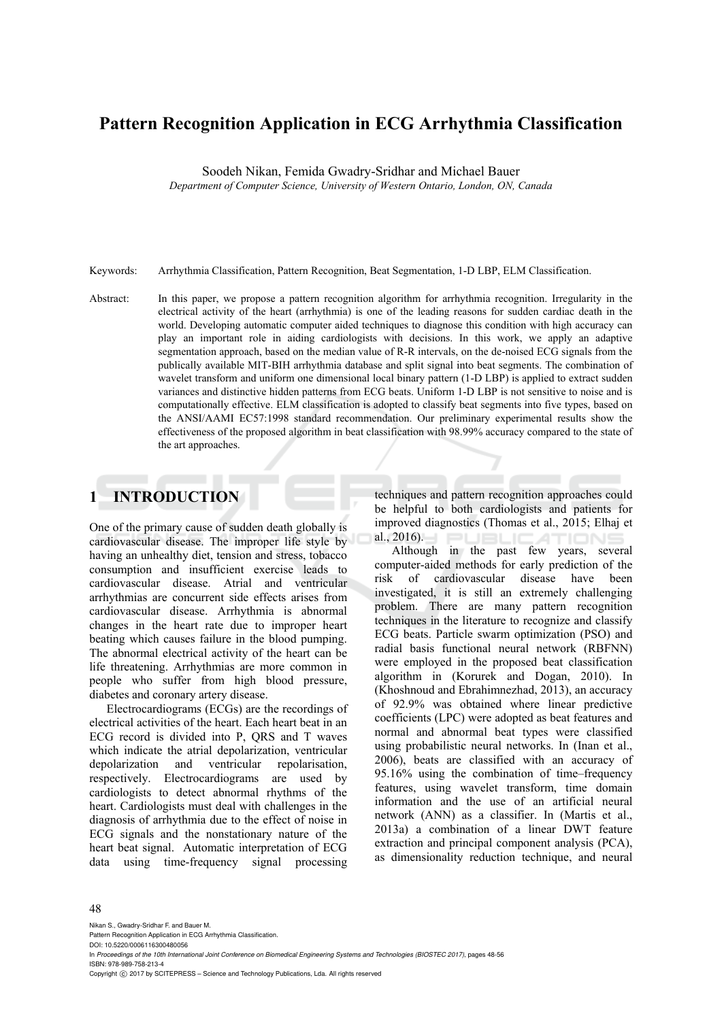# **Pattern Recognition Application in ECG Arrhythmia Classification**

Soodeh Nikan, Femida Gwadry-Sridhar and Michael Bauer

*Department of Computer Science, University of Western Ontario, London, ON, Canada* 

Keywords: Arrhythmia Classification, Pattern Recognition, Beat Segmentation, 1-D LBP, ELM Classification.

Abstract: In this paper, we propose a pattern recognition algorithm for arrhythmia recognition. Irregularity in the electrical activity of the heart (arrhythmia) is one of the leading reasons for sudden cardiac death in the world. Developing automatic computer aided techniques to diagnose this condition with high accuracy can play an important role in aiding cardiologists with decisions. In this work, we apply an adaptive segmentation approach, based on the median value of R-R intervals, on the de-noised ECG signals from the publically available MIT-BIH arrhythmia database and split signal into beat segments. The combination of wavelet transform and uniform one dimensional local binary pattern (1-D LBP) is applied to extract sudden variances and distinctive hidden patterns from ECG beats. Uniform 1-D LBP is not sensitive to noise and is computationally effective. ELM classification is adopted to classify beat segments into five types, based on the ANSI/AAMI EC57:1998 standard recommendation. Our preliminary experimental results show the effectiveness of the proposed algorithm in beat classification with 98.99% accuracy compared to the state of the art approaches.

## **1 INTRODUCTION**

One of the primary cause of sudden death globally is cardiovascular disease. The improper life style by having an unhealthy diet, tension and stress, tobacco consumption and insufficient exercise leads to cardiovascular disease. Atrial and ventricular arrhythmias are concurrent side effects arises from cardiovascular disease. Arrhythmia is abnormal changes in the heart rate due to improper heart beating which causes failure in the blood pumping. The abnormal electrical activity of the heart can be life threatening. Arrhythmias are more common in people who suffer from high blood pressure, diabetes and coronary artery disease.

Electrocardiograms (ECGs) are the recordings of electrical activities of the heart. Each heart beat in an ECG record is divided into P, QRS and T waves which indicate the atrial depolarization, ventricular depolarization and ventricular repolarisation, respectively. Electrocardiograms are used by cardiologists to detect abnormal rhythms of the heart. Cardiologists must deal with challenges in the diagnosis of arrhythmia due to the effect of noise in ECG signals and the nonstationary nature of the heart beat signal. Automatic interpretation of ECG data using time-frequency signal processing techniques and pattern recognition approaches could be helpful to both cardiologists and patients for improved diagnostics (Thomas et al., 2015; Elhaj et al., 2016).

Although in the past few years, several computer-aided methods for early prediction of the risk of cardiovascular disease have been investigated, it is still an extremely challenging problem. There are many pattern recognition techniques in the literature to recognize and classify ECG beats. Particle swarm optimization (PSO) and radial basis functional neural network (RBFNN) were employed in the proposed beat classification algorithm in (Korurek and Dogan, 2010). In (Khoshnoud and Ebrahimnezhad, 2013), an accuracy of 92.9% was obtained where linear predictive coefficients (LPC) were adopted as beat features and normal and abnormal beat types were classified using probabilistic neural networks. In (Inan et al., 2006), beats are classified with an accuracy of 95.16% using the combination of time–frequency features, using wavelet transform, time domain information and the use of an artificial neural network (ANN) as a classifier. In (Martis et al., 2013a) a combination of a linear DWT feature extraction and principal component analysis (PCA), as dimensionality reduction technique, and neural

#### 48

Nikan S., Gwadry-Sridhar F. and Bauer M.

Pattern Recognition Application in ECG Arrhythmia Classification. DOI: 10.5220/0006116300480056

In *Proceedings of the 10th International Joint Conference on Biomedical Engineering Systems and Technologies (BIOSTEC 2017)*, pages 48-56 ISBN: 978-989-758-213-4

Copyright  $©$  2017 by SCITEPRESS - Science and Technology Publications, Lda. All rights reserved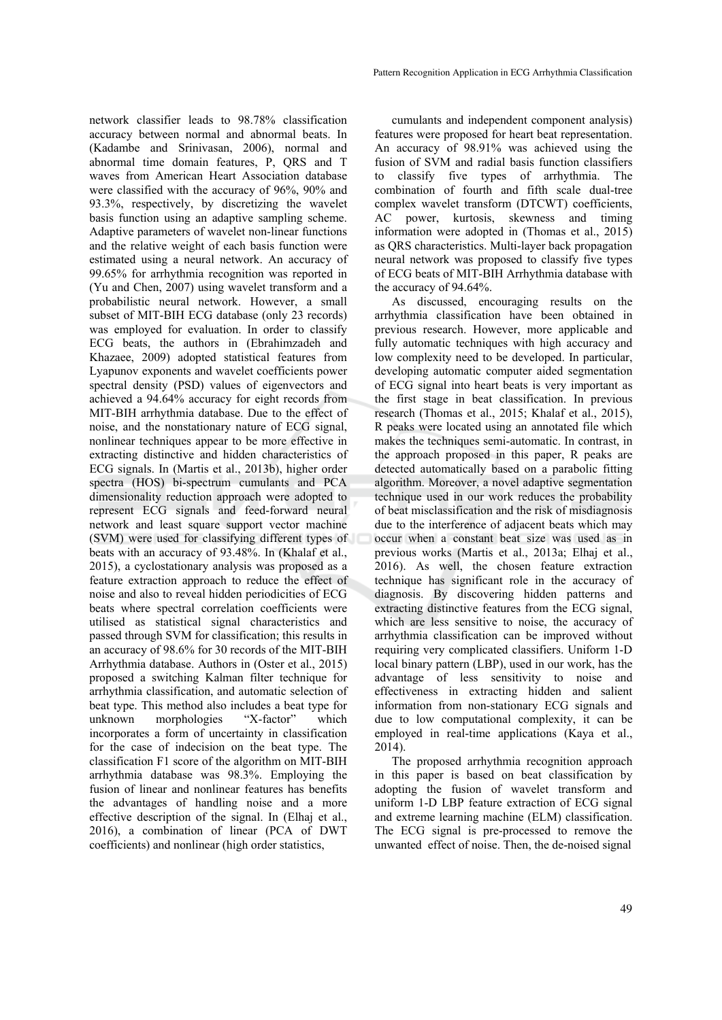network classifier leads to 98.78% classification accuracy between normal and abnormal beats. In (Kadambe and Srinivasan, 2006), normal and abnormal time domain features, P, QRS and T waves from American Heart Association database were classified with the accuracy of 96%, 90% and 93.3%, respectively, by discretizing the wavelet basis function using an adaptive sampling scheme. Adaptive parameters of wavelet non-linear functions and the relative weight of each basis function were estimated using a neural network. An accuracy of 99.65% for arrhythmia recognition was reported in (Yu and Chen, 2007) using wavelet transform and a probabilistic neural network. However, a small subset of MIT-BIH ECG database (only 23 records) was employed for evaluation. In order to classify ECG beats, the authors in (Ebrahimzadeh and Khazaee, 2009) adopted statistical features from Lyapunov exponents and wavelet coefficients power spectral density (PSD) values of eigenvectors and achieved a 94.64% accuracy for eight records from MIT-BIH arrhythmia database. Due to the effect of noise, and the nonstationary nature of ECG signal, nonlinear techniques appear to be more effective in extracting distinctive and hidden characteristics of ECG signals. In (Martis et al., 2013b), higher order spectra (HOS) bi-spectrum cumulants and PCA dimensionality reduction approach were adopted to represent ECG signals and feed-forward neural network and least square support vector machine (SVM) were used for classifying different types of beats with an accuracy of 93.48%. In (Khalaf et al., 2015), a cyclostationary analysis was proposed as a feature extraction approach to reduce the effect of noise and also to reveal hidden periodicities of ECG beats where spectral correlation coefficients were utilised as statistical signal characteristics and passed through SVM for classification; this results in an accuracy of 98.6% for 30 records of the MIT-BIH Arrhythmia database. Authors in (Oster et al., 2015) proposed a switching Kalman filter technique for arrhythmia classification, and automatic selection of beat type. This method also includes a beat type for unknown morphologies "X-factor" which incorporates a form of uncertainty in classification for the case of indecision on the beat type. The classification F1 score of the algorithm on MIT-BIH arrhythmia database was 98.3%. Employing the fusion of linear and nonlinear features has benefits the advantages of handling noise and a more effective description of the signal. In (Elhaj et al., 2016), a combination of linear (PCA of DWT coefficients) and nonlinear (high order statistics,

cumulants and independent component analysis) features were proposed for heart beat representation. An accuracy of 98.91% was achieved using the fusion of SVM and radial basis function classifiers to classify five types of arrhythmia. The combination of fourth and fifth scale dual-tree complex wavelet transform (DTCWT) coefficients, AC power, kurtosis, skewness and timing information were adopted in (Thomas et al., 2015) as QRS characteristics. Multi-layer back propagation neural network was proposed to classify five types of ECG beats of MIT-BIH Arrhythmia database with the accuracy of 94.64%.

As discussed, encouraging results on the arrhythmia classification have been obtained in previous research. However, more applicable and fully automatic techniques with high accuracy and low complexity need to be developed. In particular, developing automatic computer aided segmentation of ECG signal into heart beats is very important as the first stage in beat classification. In previous research (Thomas et al., 2015; Khalaf et al., 2015), R peaks were located using an annotated file which makes the techniques semi-automatic. In contrast, in the approach proposed in this paper, R peaks are detected automatically based on a parabolic fitting algorithm. Moreover, a novel adaptive segmentation technique used in our work reduces the probability of beat misclassification and the risk of misdiagnosis due to the interference of adjacent beats which may occur when a constant beat size was used as in previous works (Martis et al., 2013a; Elhaj et al., 2016). As well, the chosen feature extraction technique has significant role in the accuracy of diagnosis. By discovering hidden patterns and extracting distinctive features from the ECG signal, which are less sensitive to noise, the accuracy of arrhythmia classification can be improved without requiring very complicated classifiers. Uniform 1-D local binary pattern (LBP), used in our work, has the advantage of less sensitivity to noise and effectiveness in extracting hidden and salient information from non-stationary ECG signals and due to low computational complexity, it can be employed in real-time applications (Kaya et al., 2014).

The proposed arrhythmia recognition approach in this paper is based on beat classification by adopting the fusion of wavelet transform and uniform 1-D LBP feature extraction of ECG signal and extreme learning machine (ELM) classification. The ECG signal is pre-processed to remove the unwanted effect of noise. Then, the de-noised signal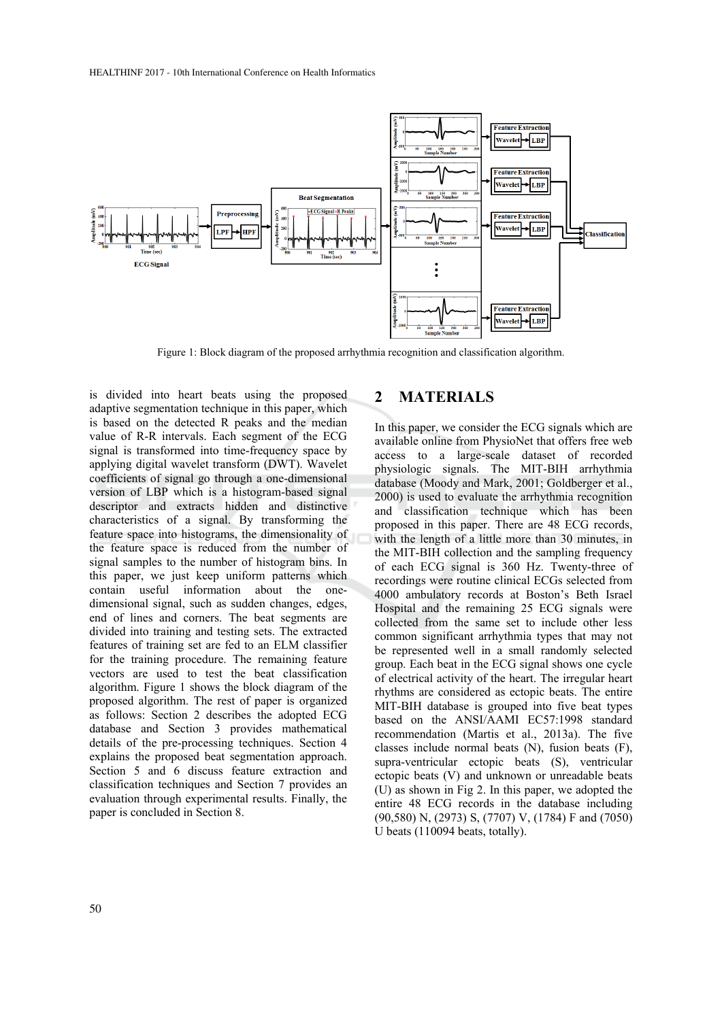

Figure 1: Block diagram of the proposed arrhythmia recognition and classification algorithm.

is divided into heart beats using the proposed adaptive segmentation technique in this paper, which is based on the detected R peaks and the median value of R-R intervals. Each segment of the ECG signal is transformed into time-frequency space by applying digital wavelet transform (DWT). Wavelet coefficients of signal go through a one-dimensional version of LBP which is a histogram-based signal descriptor and extracts hidden and distinctive characteristics of a signal. By transforming the feature space into histograms, the dimensionality of the feature space is reduced from the number of signal samples to the number of histogram bins. In this paper, we just keep uniform patterns which contain useful information about the onedimensional signal, such as sudden changes, edges, end of lines and corners. The beat segments are divided into training and testing sets. The extracted features of training set are fed to an ELM classifier for the training procedure. The remaining feature vectors are used to test the beat classification algorithm. Figure 1 shows the block diagram of the proposed algorithm. The rest of paper is organized as follows: Section 2 describes the adopted ECG database and Section 3 provides mathematical details of the pre-processing techniques. Section 4 explains the proposed beat segmentation approach. Section 5 and 6 discuss feature extraction and classification techniques and Section 7 provides an evaluation through experimental results. Finally, the paper is concluded in Section 8.

## **2 MATERIALS**

In this paper, we consider the ECG signals which are available online from PhysioNet that offers free web access to a large-scale dataset of recorded physiologic signals. The MIT-BIH arrhythmia database (Moody and Mark, 2001; Goldberger et al., 2000) is used to evaluate the arrhythmia recognition and classification technique which has been proposed in this paper. There are 48 ECG records, with the length of a little more than 30 minutes, in the MIT-BIH collection and the sampling frequency of each ECG signal is 360 Hz. Twenty-three of recordings were routine clinical ECGs selected from 4000 ambulatory records at Boston's Beth Israel Hospital and the remaining 25 ECG signals were collected from the same set to include other less common significant arrhythmia types that may not be represented well in a small randomly selected group. Each beat in the ECG signal shows one cycle of electrical activity of the heart. The irregular heart rhythms are considered as ectopic beats. The entire MIT-BIH database is grouped into five beat types based on the ANSI/AAMI EC57:1998 standard recommendation (Martis et al., 2013a). The five classes include normal beats (N), fusion beats (F), supra-ventricular ectopic beats (S), ventricular ectopic beats (V) and unknown or unreadable beats (U) as shown in Fig 2. In this paper, we adopted the entire 48 ECG records in the database including (90,580) N, (2973) S, (7707) V, (1784) F and (7050) U beats (110094 beats, totally).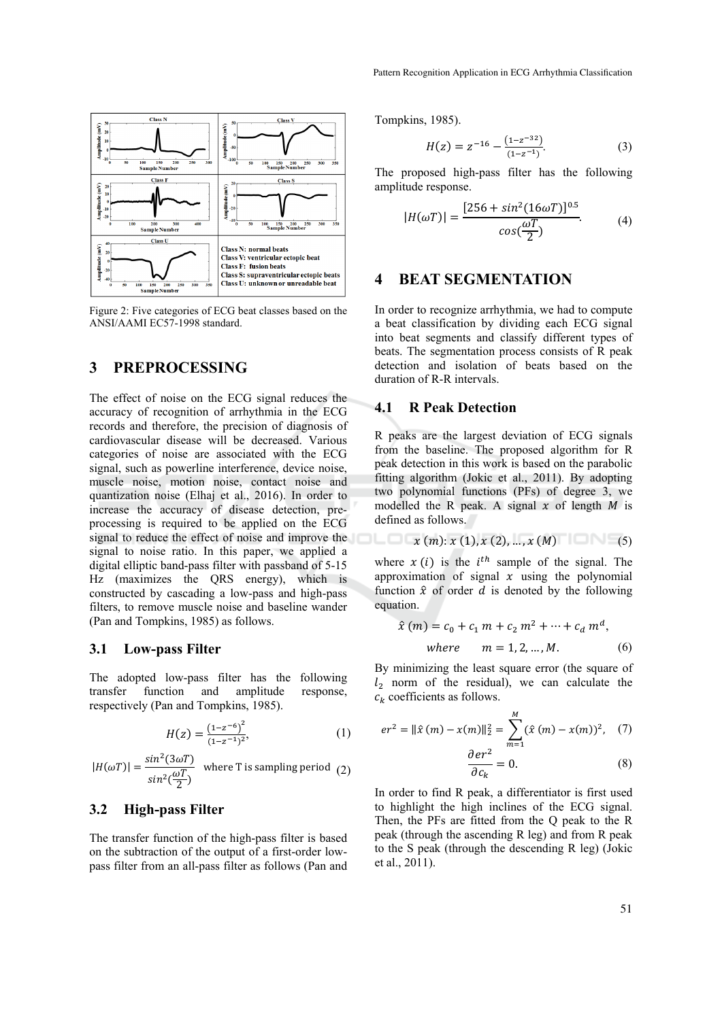

Figure 2: Five categories of ECG beat classes based on the ANSI/AAMI EC57-1998 standard.

### **3 PREPROCESSING**

The effect of noise on the ECG signal reduces the accuracy of recognition of arrhythmia in the ECG records and therefore, the precision of diagnosis of cardiovascular disease will be decreased. Various categories of noise are associated with the ECG signal, such as powerline interference, device noise, muscle noise, motion noise, contact noise and quantization noise (Elhaj et al., 2016). In order to increase the accuracy of disease detection, preprocessing is required to be applied on the ECG signal to reduce the effect of noise and improve the signal to noise ratio. In this paper, we applied a digital elliptic band-pass filter with passband of 5-15 Hz (maximizes the QRS energy), which is constructed by cascading a low-pass and high-pass filters, to remove muscle noise and baseline wander (Pan and Tompkins, 1985) as follows.

#### **3.1 Low-pass Filter**

The adopted low-pass filter has the following transfer function and amplitude response, respectively (Pan and Tompkins, 1985).

$$
H(z) = \frac{\left(1 - z^{-6}\right)^2}{\left(1 - z^{-1}\right)^2},\tag{1}
$$

$$
|H(\omega T)| = \frac{\sin^2(3\omega T)}{\sin^2(\frac{\omega T}{2})}
$$
 where T is sampling period (2)

#### **3.2 High-pass Filter**

The transfer function of the high-pass filter is based on the subtraction of the output of a first-order lowpass filter from an all-pass filter as follows (Pan and Tompkins, 1985).

$$
H(z) = z^{-16} - \frac{(1-z^{-32})}{(1-z^{-1})}.
$$
 (3)

The proposed high-pass filter has the following amplitude response.

$$
|H(\omega T)| = \frac{[256 + \sin^2(16\omega T)]^{0.5}}{\cos(\frac{\omega T}{2})}.
$$
 (4)

#### **4 BEAT SEGMENTATION**

In order to recognize arrhythmia, we had to compute a beat classification by dividing each ECG signal into beat segments and classify different types of beats. The segmentation process consists of R peak detection and isolation of beats based on the duration of R-R intervals.

#### **4.1 R Peak Detection**

R peaks are the largest deviation of ECG signals from the baseline. The proposed algorithm for R peak detection in this work is based on the parabolic fitting algorithm (Jokic et al., 2011). By adopting two polynomial functions (PFs) of degree 3, we modelled the R peak. A signal  $x$  of length  $M$  is defined as follows.

$$
x (m): x (1), x (2), ..., x (M)
$$
 (5)

where  $x(i)$  is the  $i<sup>th</sup>$  sample of the signal. The approximation of signal  $x$  using the polynomial function  $\hat{x}$  of order d is denoted by the following equation.

$$
\hat{x}(m) = c_0 + c_1 m + c_2 m^2 + \dots + c_d m^d,
$$
  
where  $m = 1, 2, ..., M.$  (6)

By minimizing the least square error (the square of  $l_2$  norm of the residual), we can calculate the  $c_k$  coefficients as follows.

$$
er^{2} = ||\hat{x}(m) - x(m)||_{2}^{2} = \sum_{m=1}^{M} (\hat{x}(m) - x(m))^{2}, \quad (7)
$$

$$
\frac{\partial er^2}{\partial c_k} = 0.
$$
 (8)

In order to find R peak, a differentiator is first used to highlight the high inclines of the ECG signal. Then, the PFs are fitted from the Q peak to the R peak (through the ascending R leg) and from R peak to the S peak (through the descending R leg) (Jokic et al., 2011).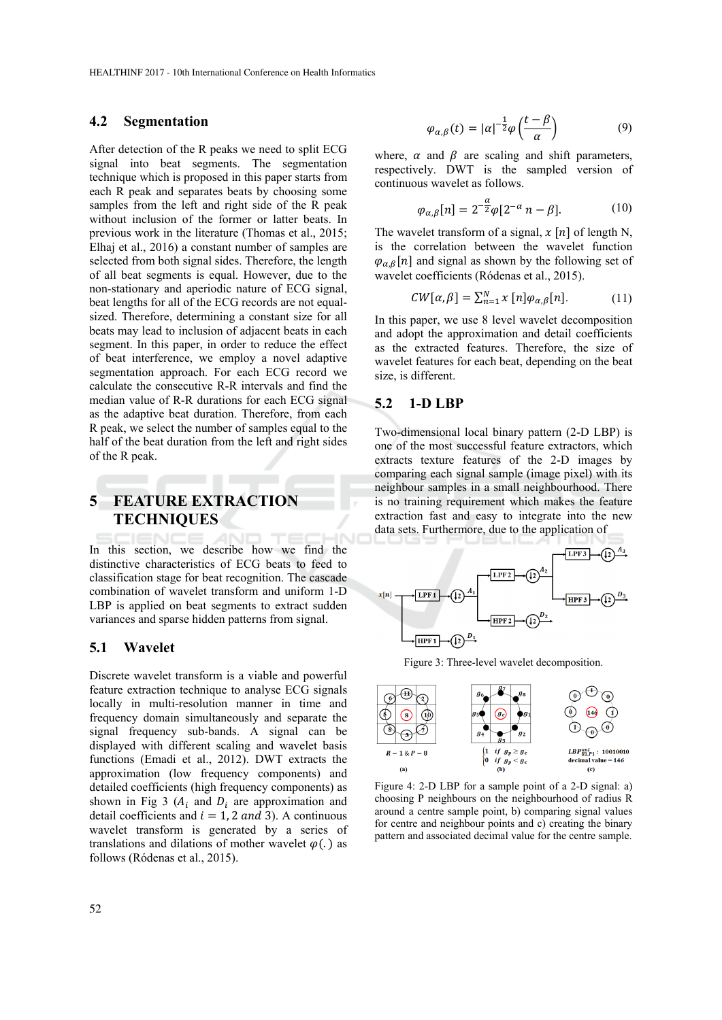### **4.2 Segmentation**

After detection of the R peaks we need to split ECG signal into beat segments. The segmentation technique which is proposed in this paper starts from each R peak and separates beats by choosing some samples from the left and right side of the R peak without inclusion of the former or latter beats. In previous work in the literature (Thomas et al., 2015; Elhaj et al., 2016) a constant number of samples are selected from both signal sides. Therefore, the length of all beat segments is equal. However, due to the non-stationary and aperiodic nature of ECG signal, beat lengths for all of the ECG records are not equalsized. Therefore, determining a constant size for all beats may lead to inclusion of adjacent beats in each segment. In this paper, in order to reduce the effect of beat interference, we employ a novel adaptive segmentation approach. For each ECG record we calculate the consecutive R-R intervals and find the median value of R-R durations for each ECG signal as the adaptive beat duration. Therefore, from each R peak, we select the number of samples equal to the half of the beat duration from the left and right sides of the R peak.

## **5 FEATURE EXTRACTION TECHNIQUES**

In this section, we describe how we find the distinctive characteristics of ECG beats to feed to classification stage for beat recognition. The cascade combination of wavelet transform and uniform 1-D LBP is applied on beat segments to extract sudden variances and sparse hidden patterns from signal.

#### **5.1 Wavelet**

Discrete wavelet transform is a viable and powerful feature extraction technique to analyse ECG signals locally in multi-resolution manner in time and frequency domain simultaneously and separate the signal frequency sub-bands. A signal can be displayed with different scaling and wavelet basis functions (Emadi et al., 2012). DWT extracts the approximation (low frequency components) and detailed coefficients (high frequency components) as shown in Fig 3  $(A_i$  and  $D_i$  are approximation and detail coefficients and  $i = 1, 2$  and 3). A continuous wavelet transform is generated by a series of translations and dilations of mother wavelet  $\varphi(.)$  as follows (Ródenas et al., 2015).

$$
\varphi_{\alpha,\beta}(t) = |\alpha|^{-\frac{1}{2}} \varphi\left(\frac{t-\beta}{\alpha}\right) \tag{9}
$$

where,  $\alpha$  and  $\beta$  are scaling and shift parameters, respectively. DWT is the sampled version of continuous wavelet as follows.

$$
\varphi_{\alpha,\beta}[n] = 2^{-\frac{\alpha}{2}} \varphi[2^{-\alpha} n - \beta]. \tag{10}
$$

The wavelet transform of a signal,  $x \lfloor n \rfloor$  of length N, is the correlation between the wavelet function  $\varphi_{\alpha\beta}[n]$  and signal as shown by the following set of wavelet coefficients (Ródenas et al., 2015).

$$
CW[\alpha, \beta] = \sum_{n=1}^{N} x [n] \varphi_{\alpha, \beta}[n]. \tag{11}
$$

In this paper, we use 8 level wavelet decomposition and adopt the approximation and detail coefficients as the extracted features. Therefore, the size of wavelet features for each beat, depending on the beat size, is different.

### **5.2 1-D LBP**

Two-dimensional local binary pattern (2-D LBP) is one of the most successful feature extractors, which extracts texture features of the 2-D images by comparing each signal sample (image pixel) with its neighbour samples in a small neighbourhood. There is no training requirement which makes the feature extraction fast and easy to integrate into the new data sets. Furthermore, due to the application of



Figure 3: Three-level wavelet decomposition.



Figure 4: 2-D LBP for a sample point of a 2-D signal: a) choosing P neighbours on the neighbourhood of radius R around a centre sample point, b) comparing signal values for centre and neighbour points and c) creating the binary pattern and associated decimal value for the centre sample.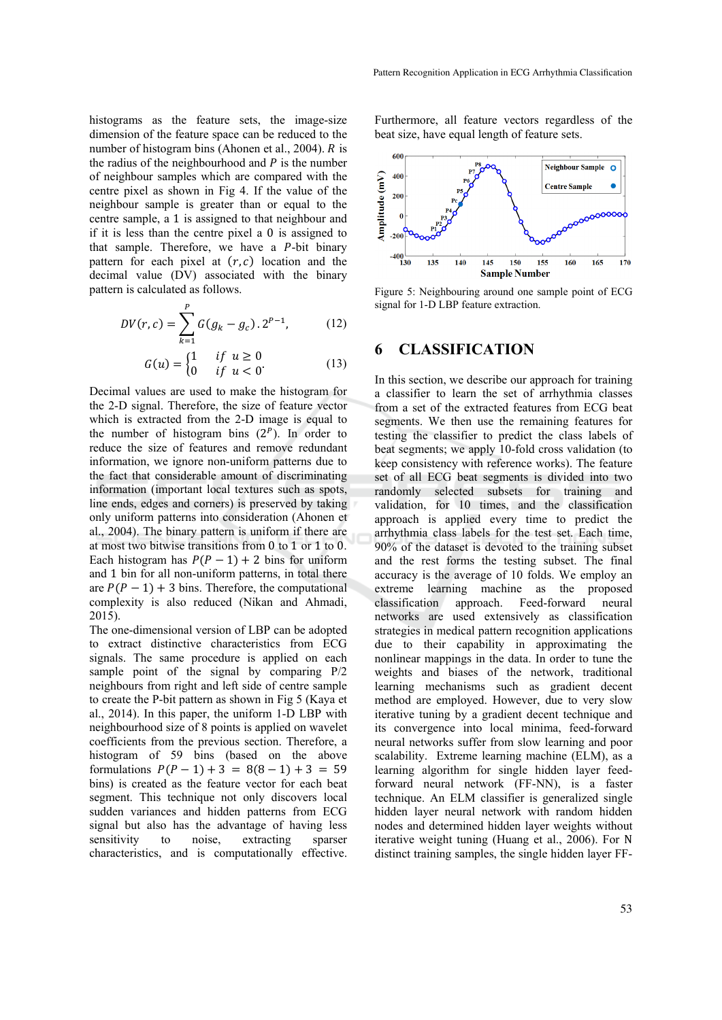histograms as the feature sets, the image-size dimension of the feature space can be reduced to the number of histogram bins (Ahonen et al., 2004).  $R$  is the radius of the neighbourhood and  $P$  is the number of neighbour samples which are compared with the centre pixel as shown in Fig 4. If the value of the neighbour sample is greater than or equal to the centre sample, a 1 is assigned to that neighbour and if it is less than the centre pixel a 0 is assigned to that sample. Therefore, we have a  $P$ -bit binary pattern for each pixel at  $(r, c)$  location and the decimal value (DV) associated with the binary pattern is calculated as follows.

$$
DV(r,c) = \sum_{k=1}^{P} G(g_k - g_c) \cdot 2^{P-1},
$$
 (12)

$$
G(u) = \begin{cases} 1 & \text{if } u \ge 0 \\ 0 & \text{if } u < 0 \end{cases} \tag{13}
$$

Decimal values are used to make the histogram for the 2-D signal. Therefore, the size of feature vector which is extracted from the 2-D image is equal to the number of histogram bins  $(2<sup>P</sup>)$ . In order to reduce the size of features and remove redundant information, we ignore non-uniform patterns due to the fact that considerable amount of discriminating information (important local textures such as spots, line ends, edges and corners) is preserved by taking only uniform patterns into consideration (Ahonen et al., 2004). The binary pattern is uniform if there are at most two bitwise transitions from 0 to 1 or 1 to 0. Each histogram has  $P(P - 1) + 2$  bins for uniform and 1 bin for all non-uniform patterns, in total there are  $P(P - 1) + 3$  bins. Therefore, the computational complexity is also reduced (Nikan and Ahmadi, 2015).

The one-dimensional version of LBP can be adopted to extract distinctive characteristics from ECG signals. The same procedure is applied on each sample point of the signal by comparing  $P/2$ neighbours from right and left side of centre sample to create the P-bit pattern as shown in Fig 5 (Kaya et al., 2014). In this paper, the uniform 1-D LBP with neighbourhood size of 8 points is applied on wavelet coefficients from the previous section. Therefore, a histogram of 59 bins (based on the above formulations  $P(P-1) + 3 = 8(8-1) + 3 = 59$ bins) is created as the feature vector for each beat segment. This technique not only discovers local sudden variances and hidden patterns from ECG signal but also has the advantage of having less sensitivity to noise, extracting sparser characteristics, and is computationally effective.

Furthermore, all feature vectors regardless of the beat size, have equal length of feature sets.



Figure 5: Neighbouring around one sample point of ECG signal for 1-D LBP feature extraction.

### **6 CLASSIFICATION**

In this section, we describe our approach for training a classifier to learn the set of arrhythmia classes from a set of the extracted features from ECG beat segments. We then use the remaining features for testing the classifier to predict the class labels of beat segments; we apply 10-fold cross validation (to keep consistency with reference works). The feature set of all ECG beat segments is divided into two randomly selected subsets for training and validation, for 10 times, and the classification approach is applied every time to predict the arrhythmia class labels for the test set. Each time, 90% of the dataset is devoted to the training subset and the rest forms the testing subset. The final accuracy is the average of 10 folds. We employ an extreme learning machine as the proposed classification approach. Feed-forward neural networks are used extensively as classification strategies in medical pattern recognition applications due to their capability in approximating the nonlinear mappings in the data. In order to tune the weights and biases of the network, traditional learning mechanisms such as gradient decent method are employed. However, due to very slow iterative tuning by a gradient decent technique and its convergence into local minima, feed-forward neural networks suffer from slow learning and poor scalability. Extreme learning machine (ELM), as a learning algorithm for single hidden layer feedforward neural network (FF-NN), is a faster technique. An ELM classifier is generalized single hidden layer neural network with random hidden nodes and determined hidden layer weights without iterative weight tuning (Huang et al., 2006). For N distinct training samples, the single hidden layer FF-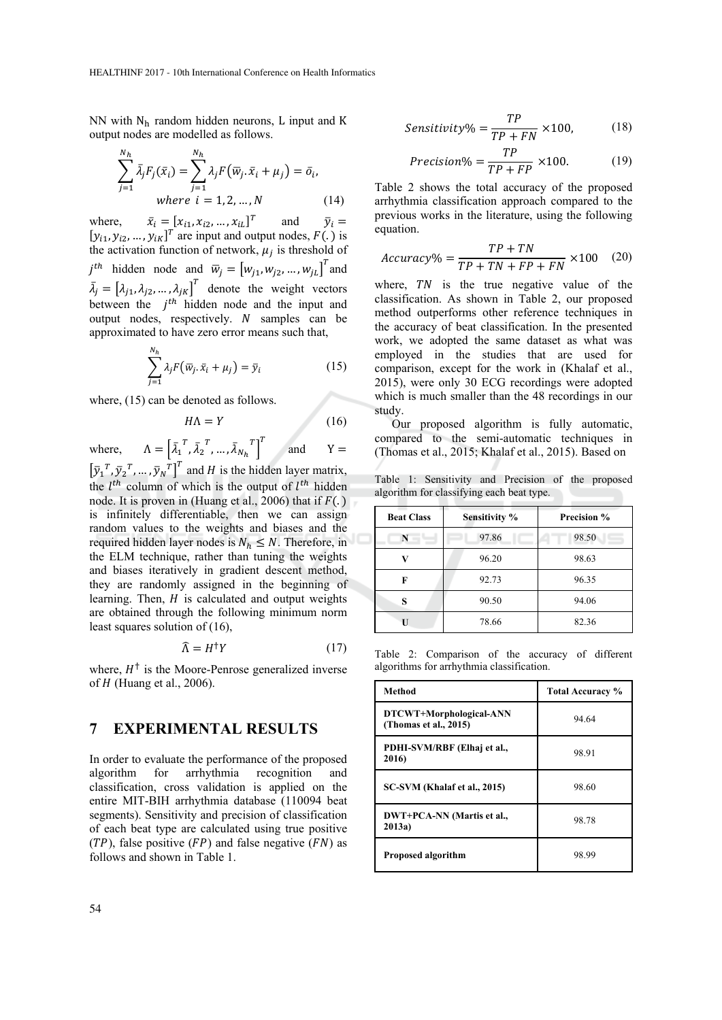NN with  $N_h$  random hidden neurons, L input and K output nodes are modelled as follows.

$$
\sum_{j=1}^{N_h} \bar{\lambda}_j F_j(\bar{x}_i) = \sum_{j=1}^{N_h} \lambda_j F(\bar{w}_j, \bar{x}_i + \mu_j) = \bar{o}_i,
$$
  
where  $i = 1, 2, ..., N$  (14)

where,  $\bar{x}_i = [x_{i1}, x_{i2}, ..., x_{iL}]^T$  and  $\bar{y}_i =$  $[y_{i1}, y_{i2}, ..., y_{iK}]^T$  are input and output nodes,  $F(.)$  is the activation function of network,  $\mu_i$  is threshold of  $j^{th}$  hidden node and  $\overline{w}_j = [w_{j1}, w_{j2}, ..., w_{jL}]^T$  and  $\bar{\lambda}_j = [\lambda_{j1}, \lambda_{j2}, \dots, \lambda_{jK}]^T$  denote the weight vectors between the  $j<sup>th</sup>$  hidden node and the input and output nodes, respectively.  $N$  samples can be approximated to have zero error means such that,

$$
\sum_{j=1}^{N_h} \lambda_j F(\overline{w}_j, \overline{x}_i + \mu_j) = \overline{y}_i
$$
 (15)

where,  $(15)$  can be denoted as follows.

$$
H\Lambda = Y \tag{16}
$$

where,  $\Lambda = |\bar{\lambda}_1|$  $^T$ ,  $\bar{\lambda}_2$  $^{\mathit{T}}$ , ...,  $\bar{\lambda}_{N_h}$  $T$ <sup>T</sup> and Y =  $\left[\bar{y}_1^T, \bar{y}_2^T, \dots, \bar{y}_N^T\right]^T$  and H is the hidden layer matrix, the  $l^{th}$  column of which is the output of  $l^{th}$  hidden node. It is proven in (Huang et al., 2006) that if  $F(.)$ is infinitely differentiable, then we can assign random values to the weights and biases and the required hidden layer nodes is  $N_h \leq N$ . Therefore, in the ELM technique, rather than tuning the weights and biases iteratively in gradient descent method, they are randomly assigned in the beginning of learning. Then,  $H$  is calculated and output weights are obtained through the following minimum norm least squares solution of (16),

$$
\widehat{\Lambda} = H^{\dagger} Y \tag{17}
$$

where,  $H^{\dagger}$  is the Moore-Penrose generalized inverse of  $H$  (Huang et al., 2006).

### **7 EXPERIMENTAL RESULTS**

In order to evaluate the performance of the proposed algorithm for arrhythmia recognition and classification, cross validation is applied on the entire MIT-BIH arrhythmia database (110094 beat segments). Sensitivity and precision of classification of each beat type are calculated using true positive  $(TP)$ , false positive  $(FP)$  and false negative  $(FN)$  as follows and shown in Table 1.

$$
Sensitivity\% = \frac{TP}{TP + FN} \times 100,\tag{18}
$$

$$
Precision\% = \frac{TP}{TP + FP} \times 100. \tag{19}
$$

Table 2 shows the total accuracy of the proposed arrhythmia classification approach compared to the previous works in the literature, using the following equation.

$$
Accuracy\% = \frac{TP + TN}{TP + TN + FP + FN} \times 100 \quad (20)
$$

where,  $TN$  is the true negative value of the classification. As shown in Table 2, our proposed method outperforms other reference techniques in the accuracy of beat classification. In the presented work, we adopted the same dataset as what was employed in the studies that are used for comparison, except for the work in (Khalaf et al., 2015), were only 30 ECG recordings were adopted which is much smaller than the 48 recordings in our study.

Our proposed algorithm is fully automatic, compared to the semi-automatic techniques in (Thomas et al., 2015; Khalaf et al., 2015). Based on

Table 1: Sensitivity and Precision of the proposed algorithm for classifying each beat type.

| <b>Beat Class</b> | Sensitivity % | Precision % |
|-------------------|---------------|-------------|
| N                 | 97.86         | 98.50       |
|                   | 96.20         | 98.63       |
| F                 | 92.73         | 96.35       |
| S                 | 90.50         | 94.06       |
|                   | 78.66         | 82.36       |

Table 2: Comparison of the accuracy of different algorithms for arrhythmia classification.

| <b>Method</b>                                    | Total Accuracy % |
|--------------------------------------------------|------------------|
| DTCWT+Morphological-ANN<br>(Thomas et al., 2015) | 94.64            |
| PDHI-SVM/RBF (Elhaj et al.,<br>2016)             | 98.91            |
| SC-SVM (Khalaf et al., 2015)                     | 98.60            |
| DWT+PCA-NN (Martis et al.,<br>2013a)             | 98.78            |
| <b>Proposed algorithm</b>                        | 98.99            |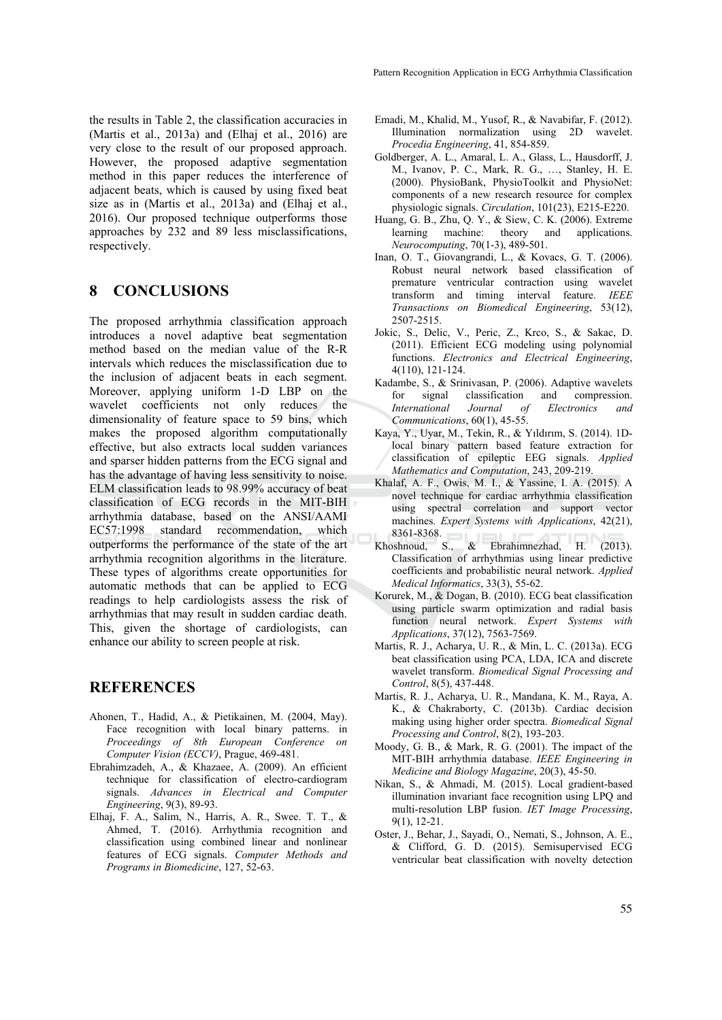the results in Table 2, the classification accuracies in (Martis et al., 2013a) and (Elhaj et al., 2016) are very close to the result of our proposed approach. However, the proposed adaptive segmentation method in this paper reduces the interference of adjacent beats, which is caused by using fixed beat size as in (Martis et al., 2013a) and (Elhaj et al., 2016). Our proposed technique outperforms those approaches by 232 and 89 less misclassifications, respectively.

### **8 CONCLUSIONS**

The proposed arrhythmia classification approach introduces a novel adaptive beat segmentation method based on the median value of the R-R intervals which reduces the misclassification due to the inclusion of adjacent beats in each segment. Moreover, applying uniform 1-D LBP on the wavelet coefficients not only reduces the dimensionality of feature space to 59 bins, which makes the proposed algorithm computationally effective, but also extracts local sudden variances and sparser hidden patterns from the ECG signal and has the advantage of having less sensitivity to noise. ELM classification leads to 98.99% accuracy of beat classification of ECG records in the MIT-BIH arrhythmia database, based on the ANSI/AAMI EC57:1998 standard recommendation, which outperforms the performance of the state of the art arrhythmia recognition algorithms in the literature. These types of algorithms create opportunities for automatic methods that can be applied to ECG readings to help cardiologists assess the risk of arrhythmias that may result in sudden cardiac death. This, given the shortage of cardiologists, can enhance our ability to screen people at risk.

### **REFERENCES**

- Ahonen, T., Hadid, A., & Pietikainen, M. (2004, May). Face recognition with local binary patterns. in *Proceedings of 8th European Conference on Computer Vision (ECCV)*, Prague, 469-481.
- Ebrahimzadeh, A., & Khazaee, A. (2009). An efficient technique for classification of electro-cardiogram signals. *Advances in Electrical and Computer Engineering*, 9(3), 89-93.
- Elhaj, F. A., Salim, N., Harris, A. R., Swee. T. T., & Ahmed, T. (2016). Arrhythmia recognition and classification using combined linear and nonlinear features of ECG signals. *Computer Methods and Programs in Biomedicine*, 127, 52-63.
- Emadi, M., Khalid, M., Yusof, R., & Navabifar, F. (2012). Illumination normalization using 2D wavelet. *Procedia Engineering*, 41, 854-859.
- Goldberger, A. L., Amaral, L. A., Glass, L., Hausdorff, J. M., Ivanov, P. C., Mark, R. G., …, Stanley, H. E. (2000). PhysioBank, PhysioToolkit and PhysioNet: components of a new research resource for complex physiologic signals. *Circulation*, 101(23), E215-E220.
- Huang, G. B., Zhu, Q. Y., & Siew, C. K. (2006). Extreme learning machine: theory and applications. *Neurocomputing*, 70(1-3), 489-501.
- Inan, O. T., Giovangrandi, L., & Kovacs, G. T. (2006). Robust neural network based classification of premature ventricular contraction using wavelet transform and timing interval feature. *IEEE Transactions on Biomedical Engineering*, 53(12), 2507-2515.
- Jokic, S., Delic, V., Peric, Z., Krco, S., & Sakac, D. (2011). Efficient ECG modeling using polynomial functions. *Electronics and Electrical Engineering*, 4(110), 121-124.
- Kadambe, S., & Srinivasan, P. (2006). Adaptive wavelets<br>for signal classification and compression. for signal classification and compression. *International Journal of Electronics and Communications*, 60(1), 45-55.
- Kaya, Y., Uyar, M., Tekin, R., & Yıldırım, S. (2014). 1Dlocal binary pattern based feature extraction for classification of epileptic EEG signals. *Applied Mathematics and Computation*, 243, 209-219.
- Khalaf, A. F., Owis, M. I., & Yassine, I. A. (2015). A novel technique for cardiac arrhythmia classification using spectral correlation and support vector machines. *Expert Systems with Applications*, 42(21), 8361-8368.
- Khoshnoud, S., & Ebrahimnezhad, H. (2013). Classification of arrhythmias using linear predictive coefficients and probabilistic neural network. *Applied Medical Informatics*, 33(3), 55-62.
- Korurek, M., & Dogan, B. (2010). ECG beat classification using particle swarm optimization and radial basis function neural network. *Expert Systems with Applications*, 37(12), 7563-7569.
- Martis, R. J., Acharya, U. R., & Min, L. C. (2013a). ECG beat classification using PCA, LDA, ICA and discrete wavelet transform. *Biomedical Signal Processing and Control*, 8(5), 437-448.
- Martis, R. J., Acharya, U. R., Mandana, K. M., Raya, A. K., & Chakraborty, C. (2013b). Cardiac decision making using higher order spectra. *Biomedical Signal Processing and Control*, 8(2), 193-203.
- Moody, G. B., & Mark, R. G. (2001). The impact of the MIT-BIH arrhythmia database. *IEEE Engineering in Medicine and Biology Magazine*, 20(3), 45-50.
- Nikan, S., & Ahmadi, M. (2015). Local gradient-based illumination invariant face recognition using LPQ and multi-resolution LBP fusion. *IET Image Processing*, 9(1), 12-21.
- Oster, J., Behar, J., Sayadi, O., Nemati, S., Johnson, A. E., & Clifford, G. D. (2015). Semisupervised ECG ventricular beat classification with novelty detection